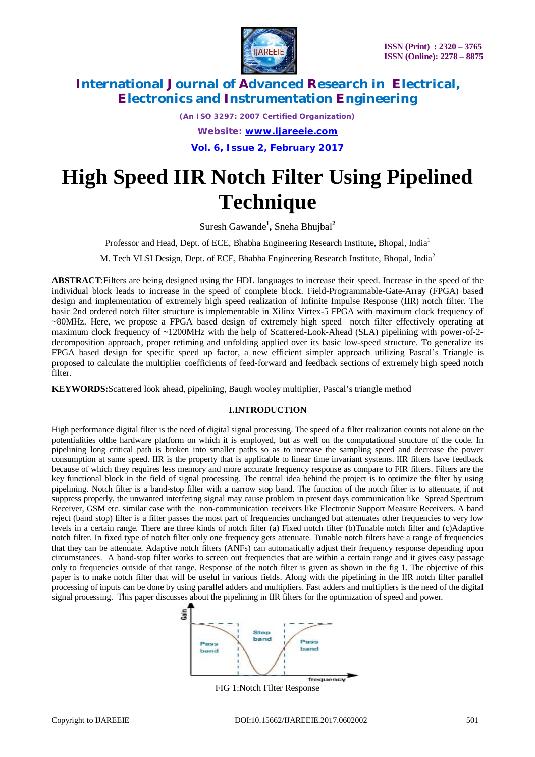

*(An ISO 3297: 2007 Certified Organization) Website: [www.ijareeie.com](http://www.ijareeie.com)*

**Vol. 6, Issue 2, February 2017**

# **High Speed IIR Notch Filter Using Pipelined Technique**

Suresh Gawande**<sup>1</sup> ,** Sneha Bhujbal**<sup>2</sup>**

Professor and Head, Dept. of ECE, Bhabha Engineering Research Institute, Bhopal, India<sup>1</sup>

M. Tech VLSI Design, Dept. of ECE, Bhabha Engineering Research Institute, Bhopal, India<sup>2</sup>

**ABSTRACT**:Filters are being designed using the HDL languages to increase their speed. Increase in the speed of the individual block leads to increase in the speed of complete block. Field-Programmable-Gate-Array (FPGA) based design and implementation of extremely high speed realization of Infinite Impulse Response (IIR) notch filter. The basic 2nd ordered notch filter structure is implementable in Xilinx Virtex-5 FPGA with maximum clock frequency of ~80MHz. Here, we propose a FPGA based design of extremely high speed notch filter effectively operating at maximum clock frequency of ~1200MHz with the help of Scattered-Look-Ahead (SLA) pipelining with power-of-2 decomposition approach, proper retiming and unfolding applied over its basic low-speed structure. To generalize its FPGA based design for specific speed up factor, a new efficient simpler approach utilizing Pascal's Triangle is proposed to calculate the multiplier coefficients of feed-forward and feedback sections of extremely high speed notch filter.

**KEYWORDS:**Scattered look ahead, pipelining, Baugh wooley multiplier, Pascal's triangle method

### **I.INTRODUCTION**

High performance digital filter is the need of digital signal processing. The speed of a filter realization counts not alone on the potentialities ofthe hardware platform on which it is employed, but as well on the computational structure of the code. In pipelining long critical path is broken into smaller paths so as to increase the sampling speed and decrease the power consumption at same speed. IIR is the property that is applicable to linear time invariant systems. IIR filters have feedback because of which they requires less memory and more accurate frequency response as compare to FIR filters. Filters are the key functional block in the field of signal processing. The central idea behind the project is to optimize the filter by using pipelining. Notch filter is a band-stop filter with a narrow stop band. The function of the notch filter is to attenuate, if not suppress properly, the unwanted interfering signal may cause problem in present days communication like Spread Spectrum Receiver, GSM etc. similar case with the non-communication receivers like Electronic Support Measure Receivers. A band reject (band stop) filter is a filter passes the most part of frequencies unchanged but attenuates other frequencies to very low levels in a certain range. There are three kinds of notch filter (a) Fixed notch filter (b)Tunable notch filter and (c)Adaptive notch filter. In fixed type of notch filter only one frequency gets attenuate. Tunable notch filters have a range of frequencies that they can be attenuate. Adaptive notch filters (ANFs) can automatically adjust their frequency response depending upon circumstances. A band-stop filter works to screen out frequencies that are within a certain range and it gives easy passage only to frequencies outside of that range. Response of the notch filter is given as shown in the fig 1. The objective of this paper is to make notch filter that will be useful in various fields. Along with the pipelining in the IIR notch filter parallel processing of inputs can be done by using parallel adders and multipliers. Fast adders and multipliers is the need of the digital signal processing. This paper discusses about the pipelining in IIR filters for the optimization of speed and power.



FIG 1:Notch Filter Response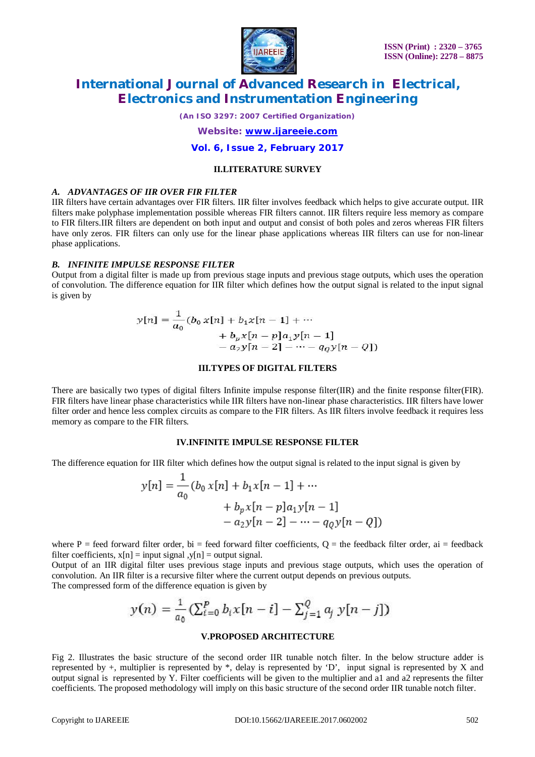

*(An ISO 3297: 2007 Certified Organization)*

*Website: [www.ijareeie.com](http://www.ijareeie.com)*

**Vol. 6, Issue 2, February 2017**

#### **II.LITERATURE SURVEY**

### *A. ADVANTAGES OF IIR OVER FIR FILTER*

IIR filters have certain advantages over FIR filters. IIR filter involves feedback which helps to give accurate output. IIR filters make polyphase implementation possible whereas FIR filters cannot. IIR filters require less memory as compare to FIR filters.IIR filters are dependent on both input and output and consist of both poles and zeros whereas FIR filters have only zeros. FIR filters can only use for the linear phase applications whereas IIR filters can use for non-linear phase applications.

### *B. INFINITE IMPULSE RESPONSE FILTER*

Output from a digital filter is made up from previous stage inputs and previous stage outputs, which uses the operation of convolution. The difference equation for IIR filter which defines how the output signal is related to the input signal is given by

$$
y[n] = \frac{1}{a_0} (b_0 x[n] + b_1 x[n-1] + \cdots
$$
  
+  $b_p x[n-p] a_1 y[n-1]$   
-  $a_2 y[n-2] - \cdots - q_0 y[n-Q]$ 

### **III.TYPES OF DIGITAL FILTERS**

There are basically two types of digital filters Infinite impulse response filter(IIR) and the finite response filter(FIR). FIR filters have linear phase characteristics while IIR filters have non-linear phase characteristics. IIR filters have lower filter order and hence less complex circuits as compare to the FIR filters. As IIR filters involve feedback it requires less memory as compare to the FIR filters.

#### **IV.INFINITE IMPULSE RESPONSE FILTER**

The difference equation for IIR filter which defines how the output signal is related to the input signal is given by

$$
y[n] = \frac{1}{a_0} (b_0 x[n] + b_1 x[n-1] + \cdots
$$
  
+  $b_p x[n-p]a_1 y[n-1]$   
-  $a_2 y[n-2] - \cdots - q_Q y[n-Q]$ )

where P = feed forward filter order, bi = feed forward filter coefficients, Q = the feedback filter order, ai = feedback filter coefficients,  $x[n] = input signal$ ,  $y[n] = output signal$ .

Output of an IIR digital filter uses previous stage inputs and previous stage outputs, which uses the operation of convolution. An IIR filter is a recursive filter where the current output depends on previous outputs. The compressed form of the difference equation is given by

$$
y(n) = \frac{1}{a_0} \left( \sum_{i=0}^{p} b_i x[n-i] - \sum_{j=1}^{q} a_j y[n-j] \right)
$$

#### **V.PROPOSED ARCHITECTURE**

Fig 2. Illustrates the basic structure of the second order IIR tunable notch filter. In the below structure adder is represented by  $+$ , multiplier is represented by  $*$ , delay is represented by 'D', input signal is represented by X and output signal is represented by Y. Filter coefficients will be given to the multiplier and a1 and a2 represents the filter coefficients. The proposed methodology will imply on this basic structure of the second order IIR tunable notch filter.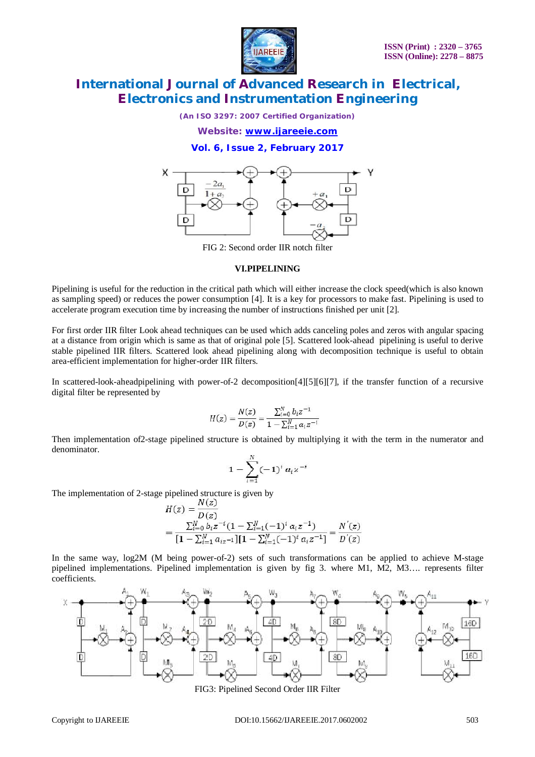

*(An ISO 3297: 2007 Certified Organization)*

*Website: [www.ijareeie.com](http://www.ijareeie.com)*

**Vol. 6, Issue 2, February 2017**



FIG 2: Second order IIR notch filter

#### **VI.PIPELINING**

Pipelining is useful for the reduction in the critical path which will either increase the clock speed(which is also known as sampling speed) or reduces the power consumption [4]. It is a key for processors to make fast. Pipelining is used to accelerate program execution time by increasing the number of instructions finished per unit [2].

For first order IIR filter Look ahead techniques can be used which adds canceling poles and zeros with angular spacing at a distance from origin which is same as that of original pole [5]. Scattered look-ahead pipelining is useful to derive stable pipelined IIR filters. Scattered look ahead pipelining along with decomposition technique is useful to obtain area-efficient implementation for higher-order IIR filters.

In scattered-look-aheadpipelining with power-of-2 decomposition[4][5][6][7], if the transfer function of a recursive digital filter be represented by

$$
H(z) = \frac{N(z)}{D(z)} = \frac{\sum_{i=0}^{N} b_i z^{-1}}{1 - \sum_{i=1}^{N} a_i z^{-1}}
$$

Then implementation of2-stage pipelined structure is obtained by multiplying it with the term in the numerator and denominator.

$$
1 - \sum_{i=1}^N (-1)^i \, \alpha_i z^{-i}
$$

The implementation of 2-stage pipelined structure is given by

$$
H(z) = \frac{N(z)}{D(z)}
$$
  
= 
$$
\frac{\sum_{i=0}^{N} b_i z^{-i} (1 - \sum_{i=1}^{N} (-1)^i a_i z^{-1})}{[1 - \sum_{i=1}^{N} a_{i} z^{-1}][1 - \sum_{i=1}^{N} (-1)^i a_i z^{-1}]} = \frac{N'(z)}{D'(z)}
$$

In the same way, log2M (M being power-of-2) sets of such transformations can be applied to achieve M-stage pipelined implementations. Pipelined implementation is given by fig 3. where M1, M2, M3…. represents filter coefficients.



FIG3: Pipelined Second Order IIR Filter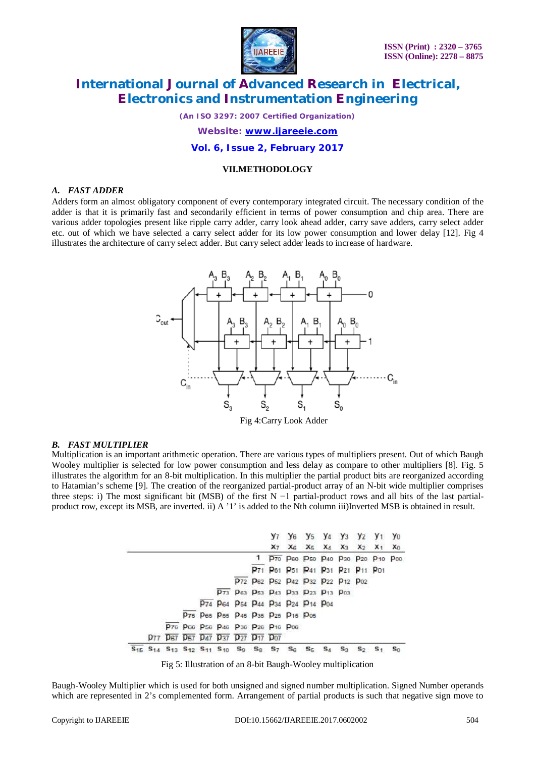

*(An ISO 3297: 2007 Certified Organization)*

*Website: [www.ijareeie.com](http://www.ijareeie.com)*

**Vol. 6, Issue 2, February 2017**

#### **VII.METHODOLOGY**

### *A. FAST ADDER*

Adders form an almost obligatory component of every contemporary integrated circuit. The necessary condition of the adder is that it is primarily fast and secondarily efficient in terms of power consumption and chip area. There are various adder topologies present like ripple carry adder, carry look ahead adder, carry save adders, carry select adder etc. out of which we have selected a carry select adder for its low power consumption and lower delay [12]. Fig 4 illustrates the architecture of carry select adder. But carry select adder leads to increase of hardware.



Fig 4:Carry Look Adder

### *B. FAST MULTIPLIER*

Multiplication is an important arithmetic operation. There are various types of multipliers present. Out of which Baugh Wooley multiplier is selected for low power consumption and less delay as compare to other multipliers [8]. Fig. 5 illustrates the algorithm for an 8-bit multiplication. In this multiplier the partial product bits are reorganized according to Hatamian's scheme [9]. The creation of the reorganized partial-product array of an N-bit wide multiplier comprises three steps: i) The most significant bit (MSB) of the first N −1 partial-product rows and all bits of the last partialproduct row, except its MSB, are inverted. ii) A '1' is added to the Nth column iii)Inverted MSB is obtained in result.

|  |  |  |                                                                                                                                                             |  |  | y <sub>6</sub> y <sub>5</sub> y <sub>4</sub> y <sub>3</sub> y <sub>2</sub> y <sub>1</sub> y <sub>0</sub> |       |       |             |                         |  |
|--|--|--|-------------------------------------------------------------------------------------------------------------------------------------------------------------|--|--|----------------------------------------------------------------------------------------------------------|-------|-------|-------------|-------------------------|--|
|  |  |  |                                                                                                                                                             |  |  |                                                                                                          |       |       |             | X7 X6 X5 X4 X3 X2 X1 X0 |  |
|  |  |  |                                                                                                                                                             |  |  | 1 P70 P60 P50 P40 P30 P20 P10 P00                                                                        |       |       |             |                         |  |
|  |  |  |                                                                                                                                                             |  |  | P71 P61 P51 P41 P31 P21 P11 P01                                                                          |       |       |             |                         |  |
|  |  |  |                                                                                                                                                             |  |  | P72 P62 P52 P42 P32 P22 P12 P02                                                                          |       |       |             |                         |  |
|  |  |  |                                                                                                                                                             |  |  | P73 P63 P53 P43 P33 P23 P13 P03                                                                          |       |       |             |                         |  |
|  |  |  |                                                                                                                                                             |  |  | P74 P64 P64 P44 P34 P24 P14 P04                                                                          |       |       |             |                         |  |
|  |  |  | P75 P65 P55 P45 P35 P25 P15 P05                                                                                                                             |  |  |                                                                                                          |       |       |             |                         |  |
|  |  |  | P76 P66 P56 P46 P36 P26 P16 P06                                                                                                                             |  |  |                                                                                                          |       |       |             |                         |  |
|  |  |  | p77 p67 p57 p47 p37 p27 p17 p07                                                                                                                             |  |  |                                                                                                          |       |       |             |                         |  |
|  |  |  | S <sub>15</sub> S <sub>14</sub> S <sub>13</sub> S <sub>12</sub> S <sub>11</sub> S <sub>10</sub> S <sub>9</sub> S <sub>8</sub> S <sub>7</sub> S <sub>6</sub> |  |  | - Sg                                                                                                     | $S_4$ | $S_3$ | $S_2$ $S_1$ |                         |  |

Fig 5: Illustration of an 8-bit Baugh-Wooley multiplication

Baugh-Wooley Multiplier which is used for both unsigned and signed number multiplication. Signed Number operands which are represented in 2's complemented form. Arrangement of partial products is such that negative sign move to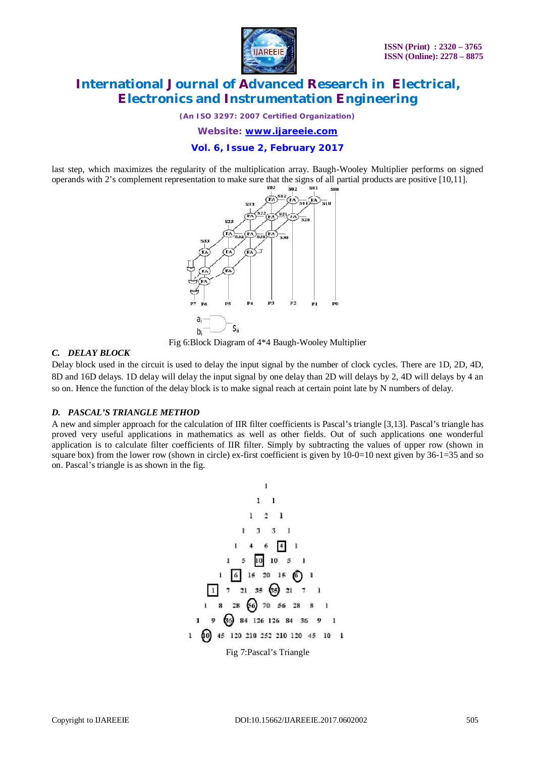

*(An ISO 3297: 2007 Certified Organization)*

*Website: [www.ijareeie.com](http://www.ijareeie.com)*

### **Vol. 6, Issue 2, February 2017**

last step, which maximizes the regularity of the multiplication array. Baugh-Wooley Multiplier performs on signed operands with 2's complement representation to make sure that the signs of all partial products are positive [10,11].



Fig 6:Block Diagram of 4\*4 Baugh-Wooley Multiplier

### *C. DELAY BLOCK*

Delay block used in the circuit is used to delay the input signal by the number of clock cycles. There are 1D, 2D, 4D, 8D and 16D delays. 1D delay will delay the input signal by one delay than 2D will delays by 2, 4D will delays by 4 an so on. Hence the function of the delay block is to make signal reach at certain point late by N numbers of delay.

### *D. PASCAL'S TRIANGLE METHOD*

A new and simpler approach for the calculation of IIR filter coefficients is Pascal's triangle [3,13]. Pascal's triangle has proved very useful applications in mathematics as well as other fields. Out of such applications one wonderful application is to calculate filter coefficients of IIR filter. Simply by subtracting the values of upper row (shown in square box) from the lower row (shown in circle) ex-first coefficient is given by 10-0=10 next given by 36-1=35 and so on. Pascal's triangle is as shown in the fig.

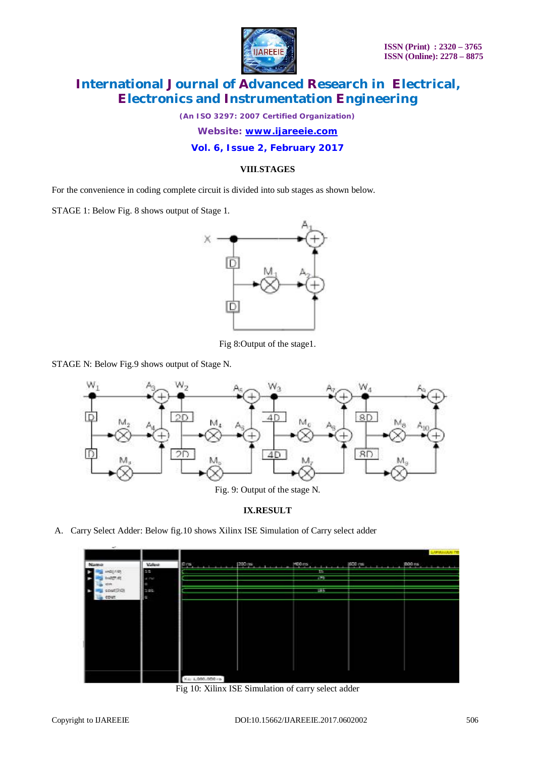

*(An ISO 3297: 2007 Certified Organization)*

*Website: [www.ijareeie.com](http://www.ijareeie.com)*

**Vol. 6, Issue 2, February 2017**

### **VIII**.**STAGES**

For the convenience in coding complete circuit is divided into sub stages as shown below.

STAGE 1: Below Fig. 8 shows output of Stage 1.



Fig 8:Output of the stage1.

STAGE N: Below Fig.9 shows output of Stage N.



# **IX.RESULT**

A. Carry Select Adder: Below fig.10 shows Xilinx ISE Simulation of Carry select adder

| $\sim$                  |       |                  |       | LUMBAULAN TEL    |
|-------------------------|-------|------------------|-------|------------------|
| Namo                    | Value | $P(X_1, , X_n)$  |       | $300$ as $11111$ |
| in1/10                  | 25    |                  | $1 -$ |                  |
| 1:2(7.0)<br><b>ASIM</b> | 4.00  |                  | 179   |                  |
| soutDSR                 | 285   |                  | 7897  |                  |
| cour.                   | e     |                  |       |                  |
|                         |       |                  |       |                  |
|                         |       |                  |       |                  |
|                         |       |                  |       |                  |
|                         |       |                  |       |                  |
|                         |       |                  |       |                  |
|                         |       |                  |       |                  |
|                         |       |                  |       |                  |
|                         |       |                  |       |                  |
|                         |       |                  |       |                  |
|                         |       | X±: 1,000.000 rs |       |                  |

Fig 10: Xilinx ISE Simulation of carry select adder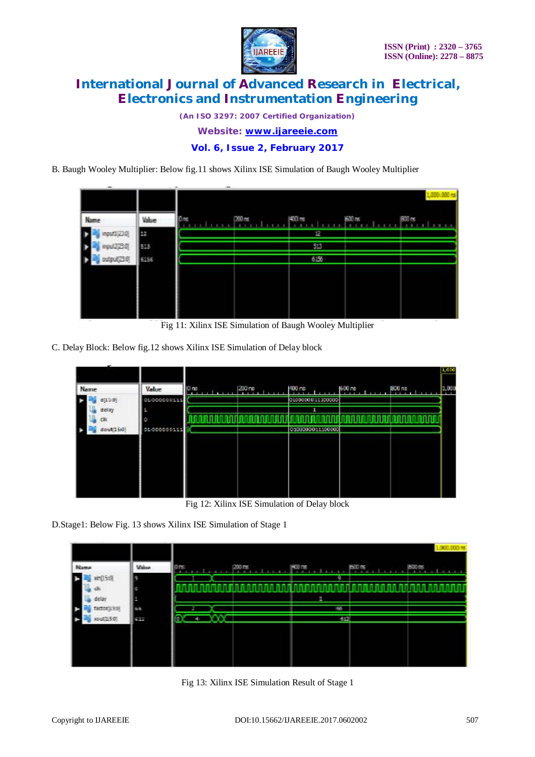

*(An ISO 3297: 2007 Certified Organization) Website: [www.ijareeie.com](http://www.ijareeie.com)*

**Vol. 6, Issue 2, February 2017**

B. Baugh Wooley Multiplier: Below fig.11 shows Xilinx ISE Simulation of Baugh Wooley Multiplier

| $\overline{\phantom{a}}$<br>Name | Value | T <sub>1</sub> <sub>ng</sub> | $200$ ns | $1400$ rs | <b>BOO</b> ns | ,000(,000<br><b>BOO</b> as |
|----------------------------------|-------|------------------------------|----------|-----------|---------------|----------------------------|
| input)(230)                      | æ     |                              |          | 12        |               |                            |
| input2(2):0)                     | 513   |                              |          | 513       |               |                            |
| output(23:0)                     | 6156  |                              |          | 62%       |               |                            |
|                                  |       |                              |          |           |               |                            |
|                                  |       |                              |          |           |               |                            |
|                                  |       |                              |          |           |               |                            |

Fig 11: Xilinx ISE Simulation of Baugh Wooley Multiplier

C. Delay Block: Below fig.12 shows Xilinx ISE Simulation of Delay block

| Name         | Value        | IO ns | 1200 ne | 400 rs           | 600 ns | 1900 ns | 1,000<br>1,000 |
|--------------|--------------|-------|---------|------------------|--------|---------|----------------|
| d[15:0]      | 01/000000111 |       |         | 0100000011100000 |        |         |                |
| delay<br>clk | а            |       |         | ٦                |        |         |                |
| dout[15i0]   | 01/000000111 |       |         | 0100000011100000 |        |         |                |
|              |              |       |         |                  |        |         |                |
|              |              |       |         |                  |        |         |                |
|              |              |       |         |                  |        |         |                |
|              |              |       |         |                  |        |         |                |

Fig 12: Xilinx ISE Simulation of Delay block

D.Stage1: Below Fig. 13 shows Xilinx ISE Simulation of Stage 1

|              |              |             |          |               |              | 00.000 as                   |
|--------------|--------------|-------------|----------|---------------|--------------|-----------------------------|
| Name         | <b>Value</b> | 0 ns        | $200$ rs | <b>HOR ns</b> | <b>EXURE</b> | <b>BOG 15</b><br><b>COL</b> |
| xin(15:0)    | e            |             |          | ٠             |              |                             |
| d.           |              |             |          |               |              |                             |
| delay        |              |             |          | Е             |              |                             |
| factor(LSt0) | <b>GG</b>    |             |          | 66            |              |                             |
| xout(154)    | <b>SPR</b>   | ٠<br>ę<br>- |          | 612           |              |                             |
|              |              |             |          |               |              |                             |
|              |              |             |          |               |              |                             |
|              |              |             |          |               |              |                             |
|              |              |             |          |               |              |                             |

Fig 13: Xilinx ISE Simulation Result of Stage 1